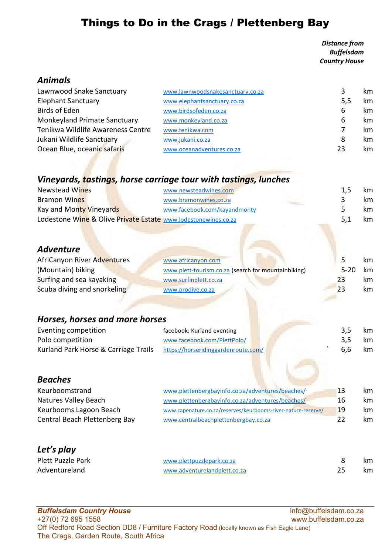# Things to Do in the Crags / Plettenberg Bay

 Distance from Buffelsdam Country House

## Animals

| Lawnwood Snake Sanctuary            | www.lawnwoodsnakesanctuary.co.za | 3   | km. |
|-------------------------------------|----------------------------------|-----|-----|
| <b>Elephant Sanctuary</b>           | www.elephantsanctuary.co.za      | 5,5 | km  |
| <b>Birds of Eden</b>                | www.birdsofeden.co.za            | 6   | km  |
| <b>Monkeyland Primate Sanctuary</b> | www.monkeyland.co.za             | 6   | km  |
| Tenikwa Wildlife Awareness Centre   | www.tenikwa.com                  |     | km. |
| Jukani Wildlife Sanctuary           | www.jukani.co.za                 | 8   | km  |
| Ocean Blue, oceanic safaris         | www.oceanadventures.co.za        | 23  | km  |

# Vineyards, tastings, horse carriage tour with tastings, lunches

| <b>Newstead Wines</b>                                          | www.newsteadwines.com        | 1.5 | km. |
|----------------------------------------------------------------|------------------------------|-----|-----|
| <b>Bramon Wines</b>                                            | www.bramonwines.co.za        |     | km. |
| Kay and Monty Vineyards                                        | www.facebook.com/kayandmonty |     | km. |
| Lodestone Wine & Olive Private Estate www.lodestonewines.co.za |                              | 5.1 | km. |

# Adventure

| AfriCanyon River Adventures | www.africanyon.com                                  |          | km. |
|-----------------------------|-----------------------------------------------------|----------|-----|
| (Mountain) biking           | www.plett-tourism.co.za (search for mountainbiking) | $5 - 20$ | km. |
| Surfing and sea kayaking    | www.surfinplett.co.za                               | 23       | km. |
| Scuba diving and snorkeling | www.prodive.co.za                                   | 23       | km. |

# Horses, horses and more horses

| Eventing competition                                                     | facebook: Kurland eventing  | 3.5 | km |
|--------------------------------------------------------------------------|-----------------------------|-----|----|
| Polo competition                                                         | www.facebook.com/PlettPolo/ | 3.5 | km |
| Kurland Park Horse & Carriage Trails https://horseridinggardenroute.com/ |                             | 6.6 | km |

## Beaches

| Keurboomstrand                | www.plettenbergbayinfo.co.za/adventures/beaches/              | 13 | km. |
|-------------------------------|---------------------------------------------------------------|----|-----|
| Natures Valley Beach          | www.plettenbergbayinfo.co.za/adventures/beaches/              | 16 | km. |
| Keurbooms Lagoon Beach        | www.capenature.co.za/reserves/keurbooms-river-nature-reserve/ | 19 | km. |
| Central Beach Plettenberg Bay | www.centralbeachplettenbergbay.co.za                          | フフ | km. |

# Let's play

| <b>Plett Puzzle Park</b> | www.plettpuzzlepark.co.za    | km  |
|--------------------------|------------------------------|-----|
| Adventureland            | www.adventurelandplett.co.za | km. |

#### Buffelsdam Country House info@buffelsdam.co.za +27(0) 72 695 1558 www.buffelsdam.co.za Off Redford Road Section DD8 / Furniture Factory Road (locally known as Fish Eagle Lane) The Crags, Garden Route, South Africa